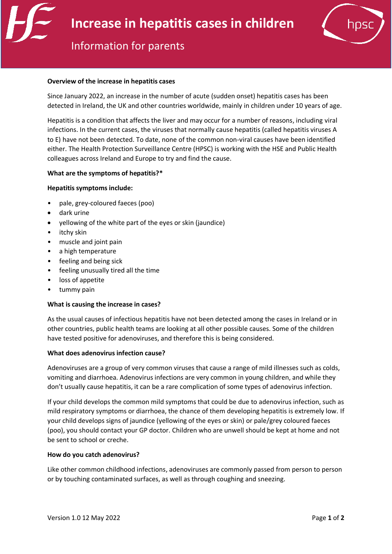

# Information for parents

#### **Overview of the increase in hepatitis cases**

Since January 2022, an increase in the number of acute (sudden onset) hepatitis cases has been detected in Ireland, the UK and other countries worldwide, mainly in children under 10 years of age.

Hepatitis is a condition that affects the liver and may occur for a number of reasons, including viral infections. In the current cases, the viruses that normally cause hepatitis (called hepatitis viruses A to E) have not been detected. To date, none of the common non-viral causes have been identified either. The Health Protection Surveillance Centre (HPSC) is working with the HSE and Public Health colleagues across Ireland and Europe to try and find the cause.

#### **What are the symptoms of hepatitis?\***

#### **Hepatitis symptoms include:**

- pale, grey-coloured faeces (poo)
- dark urine
- yellowing of the white part of the eyes or skin (jaundice)
- itchy skin
- muscle and joint pain
- a high temperature
- feeling and being sick
- feeling unusually tired all the time
- loss of appetite
- tummy pain

#### **What is causing the increase in cases?**

As the usual causes of infectious hepatitis have not been detected among the cases in Ireland or in other countries, public health teams are looking at all other possible causes. Some of the children have tested positive for adenoviruses, and therefore this is being considered.

#### **What does adenovirus infection cause?**

Adenoviruses are a group of very common viruses that cause a range of mild illnesses such as colds, vomiting and diarrhoea. Adenovirus infections are very common in young children, and while they don't usually cause hepatitis, it can be a rare complication of some types of adenovirus infection.

If your child develops the common mild symptoms that could be due to adenovirus infection, such as mild respiratory symptoms or diarrhoea, the chance of them developing hepatitis is extremely low. If your child develops signs of jaundice (yellowing of the eyes or skin) or pale/grey coloured faeces (poo), you should contact your GP doctor. Children who are unwell should be kept at home and not be sent to school or creche.

#### **How do you catch adenovirus?**

Like other common childhood infections, adenoviruses are commonly passed from person to person or by touching contaminated surfaces, as well as through coughing and sneezing.